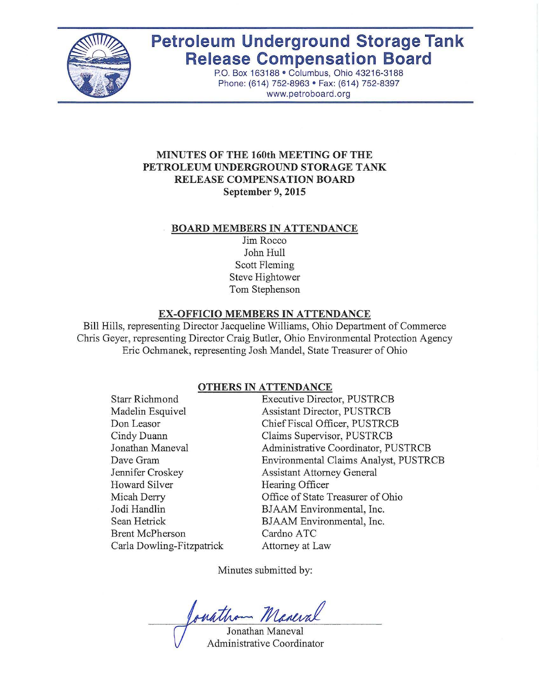

# **Petroleum Underground Storage Tank Release Compensation Board**

P.O. Box 163188 · Columbus, Ohio 43216-3188 Phone: (614) 752-8963 · Fax: (614) 752-8397 www.petroboard.org

# **MINUTES OF THE 160th MEETING OF THE PETROLEUM UNDERGROUND STORAGE TANK RELEASE COMPENSATION BOARD September 9, 2015**

#### **BOARD MEMBERS IN ATTENDANCE**

Jim Rocco John Hull Scott Fleming Steve Hightower Tom Stephenson

#### **EX-OFFICIO MEMBERS IN ATTENDANCE**

Bill Hills, representing Director Jacqueline Williams, Ohio Department of Commerce Chris Geyer, representing Director Craig Butler, Ohio Environmental Protection Agency Eric Ochmanek, representing Josh Mandel, State Treasurer of Ohio

#### **OTHERS IN ATTENDANCE**

Starr Richmond Madelin Esquivel Don Leasor Cindy Duann Jonathan Maneval Dave Gram Jennifer Croskey Howard Silver Micah Derry Jodi Handlin Sean Hetrick Brent McPherson Carla Dowling-Fitzpatrick Executive Director, PUSTRCB Assistant Director, PUSTRCB Chief Fiscal Officer, PUSTRCB Claims Supervisor, PUSTRCB Administrative Coordinator, PUSTRCB Environmental Claims Analyst, PUSTRCB Assistant Attorney General Hearing Officer Office of State Treasurer of Ohio BJAAM Environmental, Inc. BJAAM Environmental, Inc. Cardno ATC Attorney at Law

Minutes submitted by:

parathom Maneval

Jonathan Maneval Administrative Coordinator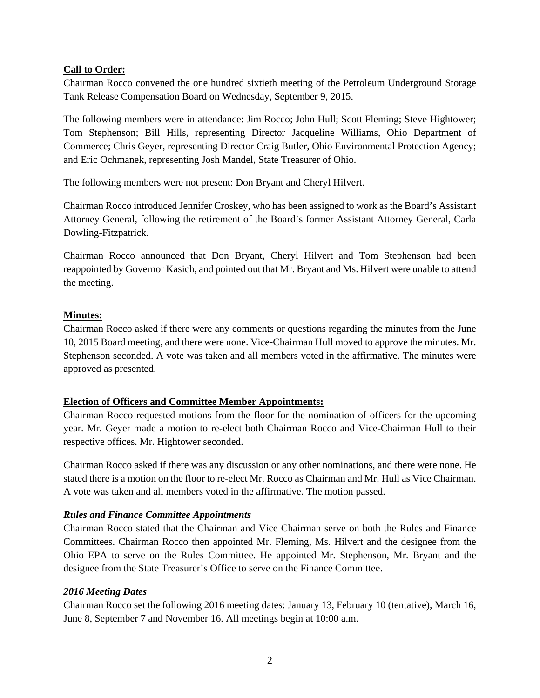#### **Call to Order:**

Chairman Rocco convened the one hundred sixtieth meeting of the Petroleum Underground Storage Tank Release Compensation Board on Wednesday, September 9, 2015.

The following members were in attendance: Jim Rocco; John Hull; Scott Fleming; Steve Hightower; Tom Stephenson; Bill Hills, representing Director Jacqueline Williams, Ohio Department of Commerce; Chris Geyer, representing Director Craig Butler, Ohio Environmental Protection Agency; and Eric Ochmanek, representing Josh Mandel, State Treasurer of Ohio.

The following members were not present: Don Bryant and Cheryl Hilvert.

Chairman Rocco introduced Jennifer Croskey, who has been assigned to work as the Board's Assistant Attorney General, following the retirement of the Board's former Assistant Attorney General, Carla Dowling-Fitzpatrick.

Chairman Rocco announced that Don Bryant, Cheryl Hilvert and Tom Stephenson had been reappointed by Governor Kasich, and pointed out that Mr. Bryant and Ms. Hilvert were unable to attend the meeting.

## **Minutes:**

Chairman Rocco asked if there were any comments or questions regarding the minutes from the June 10, 2015 Board meeting, and there were none. Vice-Chairman Hull moved to approve the minutes. Mr. Stephenson seconded. A vote was taken and all members voted in the affirmative. The minutes were approved as presented.

#### **Election of Officers and Committee Member Appointments:**

Chairman Rocco requested motions from the floor for the nomination of officers for the upcoming year. Mr. Geyer made a motion to re-elect both Chairman Rocco and Vice-Chairman Hull to their respective offices. Mr. Hightower seconded.

Chairman Rocco asked if there was any discussion or any other nominations, and there were none. He stated there is a motion on the floor to re-elect Mr. Rocco as Chairman and Mr. Hull as Vice Chairman. A vote was taken and all members voted in the affirmative. The motion passed.

#### *Rules and Finance Committee Appointments*

Chairman Rocco stated that the Chairman and Vice Chairman serve on both the Rules and Finance Committees. Chairman Rocco then appointed Mr. Fleming, Ms. Hilvert and the designee from the Ohio EPA to serve on the Rules Committee. He appointed Mr. Stephenson, Mr. Bryant and the designee from the State Treasurer's Office to serve on the Finance Committee.

#### *2016 Meeting Dates*

Chairman Rocco set the following 2016 meeting dates: January 13, February 10 (tentative), March 16, June 8, September 7 and November 16. All meetings begin at 10:00 a.m.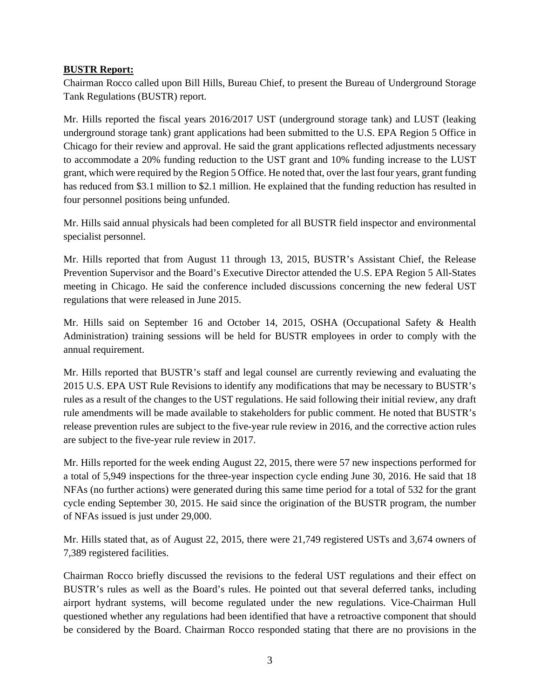## **BUSTR Report:**

Chairman Rocco called upon Bill Hills, Bureau Chief, to present the Bureau of Underground Storage Tank Regulations (BUSTR) report.

Mr. Hills reported the fiscal years 2016/2017 UST (underground storage tank) and LUST (leaking underground storage tank) grant applications had been submitted to the U.S. EPA Region 5 Office in Chicago for their review and approval. He said the grant applications reflected adjustments necessary to accommodate a 20% funding reduction to the UST grant and 10% funding increase to the LUST grant, which were required by the Region 5 Office. He noted that, over the last four years, grant funding has reduced from \$3.1 million to \$2.1 million. He explained that the funding reduction has resulted in four personnel positions being unfunded.

Mr. Hills said annual physicals had been completed for all BUSTR field inspector and environmental specialist personnel.

Mr. Hills reported that from August 11 through 13, 2015, BUSTR's Assistant Chief, the Release Prevention Supervisor and the Board's Executive Director attended the U.S. EPA Region 5 All-States meeting in Chicago. He said the conference included discussions concerning the new federal UST regulations that were released in June 2015.

Mr. Hills said on September 16 and October 14, 2015, OSHA (Occupational Safety & Health Administration) training sessions will be held for BUSTR employees in order to comply with the annual requirement.

Mr. Hills reported that BUSTR's staff and legal counsel are currently reviewing and evaluating the 2015 U.S. EPA UST Rule Revisions to identify any modifications that may be necessary to BUSTR's rules as a result of the changes to the UST regulations. He said following their initial review, any draft rule amendments will be made available to stakeholders for public comment. He noted that BUSTR's release prevention rules are subject to the five-year rule review in 2016, and the corrective action rules are subject to the five-year rule review in 2017.

Mr. Hills reported for the week ending August 22, 2015, there were 57 new inspections performed for a total of 5,949 inspections for the three-year inspection cycle ending June 30, 2016. He said that 18 NFAs (no further actions) were generated during this same time period for a total of 532 for the grant cycle ending September 30, 2015. He said since the origination of the BUSTR program, the number of NFAs issued is just under 29,000.

Mr. Hills stated that, as of August 22, 2015, there were 21,749 registered USTs and 3,674 owners of 7,389 registered facilities.

Chairman Rocco briefly discussed the revisions to the federal UST regulations and their effect on BUSTR's rules as well as the Board's rules. He pointed out that several deferred tanks, including airport hydrant systems, will become regulated under the new regulations. Vice-Chairman Hull questioned whether any regulations had been identified that have a retroactive component that should be considered by the Board. Chairman Rocco responded stating that there are no provisions in the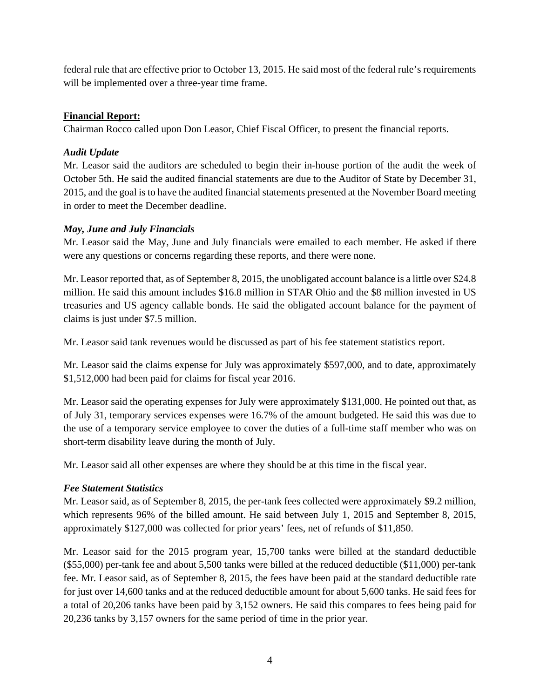federal rule that are effective prior to October 13, 2015. He said most of the federal rule's requirements will be implemented over a three-year time frame.

# **Financial Report:**

Chairman Rocco called upon Don Leasor, Chief Fiscal Officer, to present the financial reports.

# *Audit Update*

Mr. Leasor said the auditors are scheduled to begin their in-house portion of the audit the week of October 5th. He said the audited financial statements are due to the Auditor of State by December 31, 2015, and the goal is to have the audited financial statements presented at the November Board meeting in order to meet the December deadline.

# *May, June and July Financials*

Mr. Leasor said the May, June and July financials were emailed to each member. He asked if there were any questions or concerns regarding these reports, and there were none.

Mr. Leasor reported that, as of September 8, 2015, the unobligated account balance is a little over \$24.8 million. He said this amount includes \$16.8 million in STAR Ohio and the \$8 million invested in US treasuries and US agency callable bonds. He said the obligated account balance for the payment of claims is just under \$7.5 million.

Mr. Leasor said tank revenues would be discussed as part of his fee statement statistics report.

Mr. Leasor said the claims expense for July was approximately \$597,000, and to date, approximately \$1,512,000 had been paid for claims for fiscal year 2016.

Mr. Leasor said the operating expenses for July were approximately \$131,000. He pointed out that, as of July 31, temporary services expenses were 16.7% of the amount budgeted. He said this was due to the use of a temporary service employee to cover the duties of a full-time staff member who was on short-term disability leave during the month of July.

Mr. Leasor said all other expenses are where they should be at this time in the fiscal year.

# *Fee Statement Statistics*

Mr. Leasor said, as of September 8, 2015, the per-tank fees collected were approximately \$9.2 million, which represents 96% of the billed amount. He said between July 1, 2015 and September 8, 2015, approximately \$127,000 was collected for prior years' fees, net of refunds of \$11,850.

Mr. Leasor said for the 2015 program year, 15,700 tanks were billed at the standard deductible (\$55,000) per-tank fee and about 5,500 tanks were billed at the reduced deductible (\$11,000) per-tank fee. Mr. Leasor said, as of September 8, 2015, the fees have been paid at the standard deductible rate for just over 14,600 tanks and at the reduced deductible amount for about 5,600 tanks. He said fees for a total of 20,206 tanks have been paid by 3,152 owners. He said this compares to fees being paid for 20,236 tanks by 3,157 owners for the same period of time in the prior year.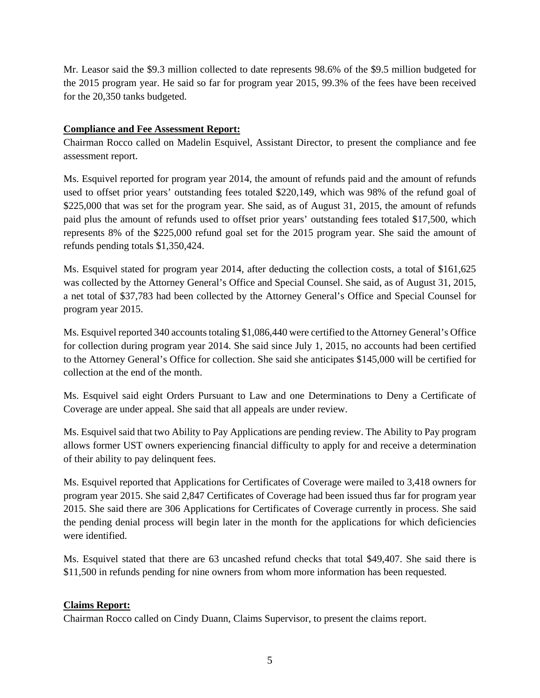Mr. Leasor said the \$9.3 million collected to date represents 98.6% of the \$9.5 million budgeted for the 2015 program year. He said so far for program year 2015, 99.3% of the fees have been received for the 20,350 tanks budgeted.

## **Compliance and Fee Assessment Report:**

Chairman Rocco called on Madelin Esquivel, Assistant Director, to present the compliance and fee assessment report.

Ms. Esquivel reported for program year 2014, the amount of refunds paid and the amount of refunds used to offset prior years' outstanding fees totaled \$220,149, which was 98% of the refund goal of \$225,000 that was set for the program year. She said, as of August 31, 2015, the amount of refunds paid plus the amount of refunds used to offset prior years' outstanding fees totaled \$17,500, which represents 8% of the \$225,000 refund goal set for the 2015 program year. She said the amount of refunds pending totals \$1,350,424.

Ms. Esquivel stated for program year 2014, after deducting the collection costs, a total of \$161,625 was collected by the Attorney General's Office and Special Counsel. She said, as of August 31, 2015, a net total of \$37,783 had been collected by the Attorney General's Office and Special Counsel for program year 2015.

Ms. Esquivel reported 340 accounts totaling \$1,086,440 were certified to the Attorney General's Office for collection during program year 2014. She said since July 1, 2015, no accounts had been certified to the Attorney General's Office for collection. She said she anticipates \$145,000 will be certified for collection at the end of the month.

Ms. Esquivel said eight Orders Pursuant to Law and one Determinations to Deny a Certificate of Coverage are under appeal. She said that all appeals are under review.

Ms. Esquivel said that two Ability to Pay Applications are pending review. The Ability to Pay program allows former UST owners experiencing financial difficulty to apply for and receive a determination of their ability to pay delinquent fees.

Ms. Esquivel reported that Applications for Certificates of Coverage were mailed to 3,418 owners for program year 2015. She said 2,847 Certificates of Coverage had been issued thus far for program year 2015. She said there are 306 Applications for Certificates of Coverage currently in process. She said the pending denial process will begin later in the month for the applications for which deficiencies were identified.

Ms. Esquivel stated that there are 63 uncashed refund checks that total \$49,407. She said there is \$11,500 in refunds pending for nine owners from whom more information has been requested.

# **Claims Report:**

Chairman Rocco called on Cindy Duann, Claims Supervisor, to present the claims report.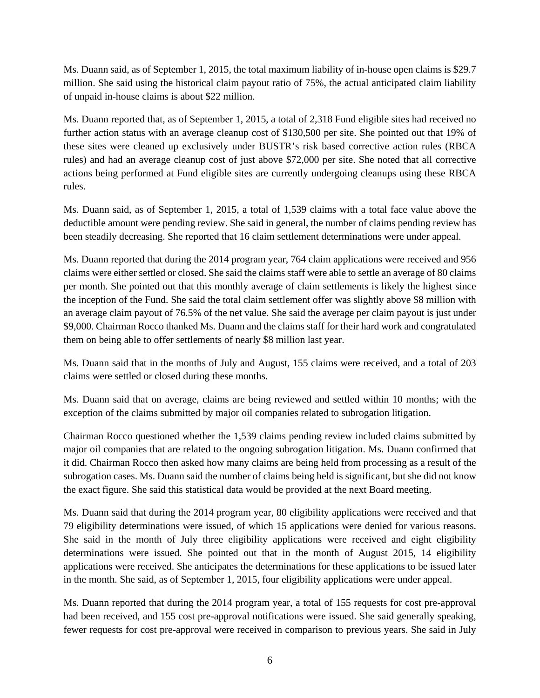Ms. Duann said, as of September 1, 2015, the total maximum liability of in-house open claims is \$29.7 million. She said using the historical claim payout ratio of 75%, the actual anticipated claim liability of unpaid in-house claims is about \$22 million.

Ms. Duann reported that, as of September 1, 2015, a total of 2,318 Fund eligible sites had received no further action status with an average cleanup cost of \$130,500 per site. She pointed out that 19% of these sites were cleaned up exclusively under BUSTR's risk based corrective action rules (RBCA rules) and had an average cleanup cost of just above \$72,000 per site. She noted that all corrective actions being performed at Fund eligible sites are currently undergoing cleanups using these RBCA rules.

Ms. Duann said, as of September 1, 2015, a total of 1,539 claims with a total face value above the deductible amount were pending review. She said in general, the number of claims pending review has been steadily decreasing. She reported that 16 claim settlement determinations were under appeal.

Ms. Duann reported that during the 2014 program year, 764 claim applications were received and 956 claims were either settled or closed. She said the claims staff were able to settle an average of 80 claims per month. She pointed out that this monthly average of claim settlements is likely the highest since the inception of the Fund. She said the total claim settlement offer was slightly above \$8 million with an average claim payout of 76.5% of the net value. She said the average per claim payout is just under \$9,000. Chairman Rocco thanked Ms. Duann and the claims staff for their hard work and congratulated them on being able to offer settlements of nearly \$8 million last year.

Ms. Duann said that in the months of July and August, 155 claims were received, and a total of 203 claims were settled or closed during these months.

Ms. Duann said that on average, claims are being reviewed and settled within 10 months; with the exception of the claims submitted by major oil companies related to subrogation litigation.

Chairman Rocco questioned whether the 1,539 claims pending review included claims submitted by major oil companies that are related to the ongoing subrogation litigation. Ms. Duann confirmed that it did. Chairman Rocco then asked how many claims are being held from processing as a result of the subrogation cases. Ms. Duann said the number of claims being held is significant, but she did not know the exact figure. She said this statistical data would be provided at the next Board meeting.

Ms. Duann said that during the 2014 program year, 80 eligibility applications were received and that 79 eligibility determinations were issued, of which 15 applications were denied for various reasons. She said in the month of July three eligibility applications were received and eight eligibility determinations were issued. She pointed out that in the month of August 2015, 14 eligibility applications were received. She anticipates the determinations for these applications to be issued later in the month. She said, as of September 1, 2015, four eligibility applications were under appeal.

Ms. Duann reported that during the 2014 program year, a total of 155 requests for cost pre-approval had been received, and 155 cost pre-approval notifications were issued. She said generally speaking, fewer requests for cost pre-approval were received in comparison to previous years. She said in July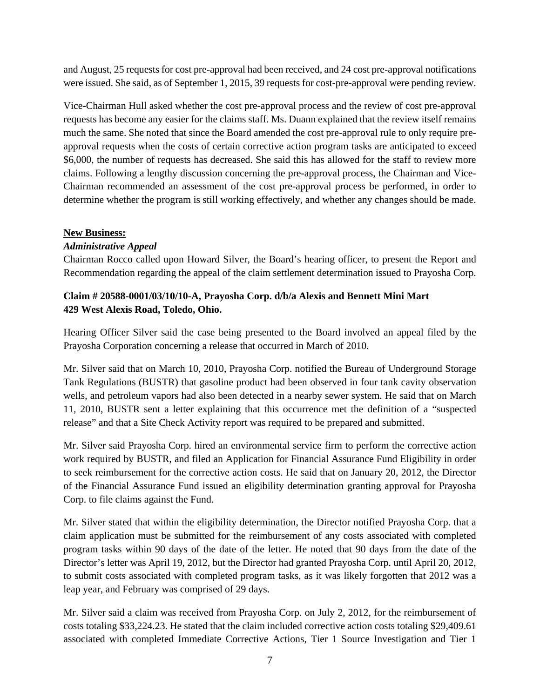and August, 25 requests for cost pre-approval had been received, and 24 cost pre-approval notifications were issued. She said, as of September 1, 2015, 39 requests for cost-pre-approval were pending review.

Vice-Chairman Hull asked whether the cost pre-approval process and the review of cost pre-approval requests has become any easier for the claims staff. Ms. Duann explained that the review itself remains much the same. She noted that since the Board amended the cost pre-approval rule to only require preapproval requests when the costs of certain corrective action program tasks are anticipated to exceed \$6,000, the number of requests has decreased. She said this has allowed for the staff to review more claims. Following a lengthy discussion concerning the pre-approval process, the Chairman and Vice-Chairman recommended an assessment of the cost pre-approval process be performed, in order to determine whether the program is still working effectively, and whether any changes should be made.

## **New Business:**

## *Administrative Appeal*

Chairman Rocco called upon Howard Silver, the Board's hearing officer, to present the Report and Recommendation regarding the appeal of the claim settlement determination issued to Prayosha Corp.

# **Claim # 20588-0001/03/10/10-A, Prayosha Corp. d/b/a Alexis and Bennett Mini Mart 429 West Alexis Road, Toledo, Ohio.**

Hearing Officer Silver said the case being presented to the Board involved an appeal filed by the Prayosha Corporation concerning a release that occurred in March of 2010.

Mr. Silver said that on March 10, 2010, Prayosha Corp. notified the Bureau of Underground Storage Tank Regulations (BUSTR) that gasoline product had been observed in four tank cavity observation wells, and petroleum vapors had also been detected in a nearby sewer system. He said that on March 11, 2010, BUSTR sent a letter explaining that this occurrence met the definition of a "suspected release" and that a Site Check Activity report was required to be prepared and submitted.

Mr. Silver said Prayosha Corp. hired an environmental service firm to perform the corrective action work required by BUSTR, and filed an Application for Financial Assurance Fund Eligibility in order to seek reimbursement for the corrective action costs. He said that on January 20, 2012, the Director of the Financial Assurance Fund issued an eligibility determination granting approval for Prayosha Corp. to file claims against the Fund.

Mr. Silver stated that within the eligibility determination, the Director notified Prayosha Corp. that a claim application must be submitted for the reimbursement of any costs associated with completed program tasks within 90 days of the date of the letter. He noted that 90 days from the date of the Director's letter was April 19, 2012, but the Director had granted Prayosha Corp. until April 20, 2012, to submit costs associated with completed program tasks, as it was likely forgotten that 2012 was a leap year, and February was comprised of 29 days.

Mr. Silver said a claim was received from Prayosha Corp. on July 2, 2012, for the reimbursement of costs totaling \$33,224.23. He stated that the claim included corrective action costs totaling \$29,409.61 associated with completed Immediate Corrective Actions, Tier 1 Source Investigation and Tier 1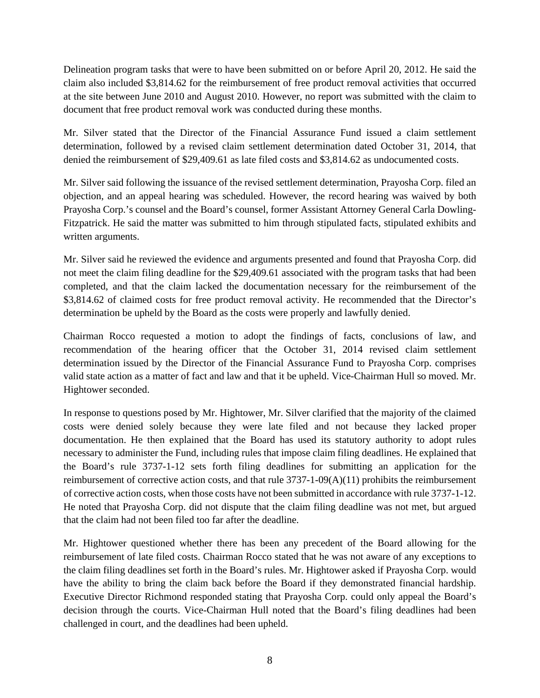Delineation program tasks that were to have been submitted on or before April 20, 2012. He said the claim also included \$3,814.62 for the reimbursement of free product removal activities that occurred at the site between June 2010 and August 2010. However, no report was submitted with the claim to document that free product removal work was conducted during these months.

Mr. Silver stated that the Director of the Financial Assurance Fund issued a claim settlement determination, followed by a revised claim settlement determination dated October 31, 2014, that denied the reimbursement of \$29,409.61 as late filed costs and \$3,814.62 as undocumented costs.

Mr. Silver said following the issuance of the revised settlement determination, Prayosha Corp. filed an objection, and an appeal hearing was scheduled. However, the record hearing was waived by both Prayosha Corp.'s counsel and the Board's counsel, former Assistant Attorney General Carla Dowling-Fitzpatrick. He said the matter was submitted to him through stipulated facts, stipulated exhibits and written arguments.

Mr. Silver said he reviewed the evidence and arguments presented and found that Prayosha Corp. did not meet the claim filing deadline for the \$29,409.61 associated with the program tasks that had been completed, and that the claim lacked the documentation necessary for the reimbursement of the \$3,814.62 of claimed costs for free product removal activity. He recommended that the Director's determination be upheld by the Board as the costs were properly and lawfully denied.

Chairman Rocco requested a motion to adopt the findings of facts, conclusions of law, and recommendation of the hearing officer that the October 31, 2014 revised claim settlement determination issued by the Director of the Financial Assurance Fund to Prayosha Corp. comprises valid state action as a matter of fact and law and that it be upheld. Vice-Chairman Hull so moved. Mr. Hightower seconded.

In response to questions posed by Mr. Hightower, Mr. Silver clarified that the majority of the claimed costs were denied solely because they were late filed and not because they lacked proper documentation. He then explained that the Board has used its statutory authority to adopt rules necessary to administer the Fund, including rules that impose claim filing deadlines. He explained that the Board's rule 3737-1-12 sets forth filing deadlines for submitting an application for the reimbursement of corrective action costs, and that rule 3737-1-09(A)(11) prohibits the reimbursement of corrective action costs, when those costs have not been submitted in accordance with rule 3737-1-12. He noted that Prayosha Corp. did not dispute that the claim filing deadline was not met, but argued that the claim had not been filed too far after the deadline.

Mr. Hightower questioned whether there has been any precedent of the Board allowing for the reimbursement of late filed costs. Chairman Rocco stated that he was not aware of any exceptions to the claim filing deadlines set forth in the Board's rules. Mr. Hightower asked if Prayosha Corp. would have the ability to bring the claim back before the Board if they demonstrated financial hardship. Executive Director Richmond responded stating that Prayosha Corp. could only appeal the Board's decision through the courts. Vice-Chairman Hull noted that the Board's filing deadlines had been challenged in court, and the deadlines had been upheld.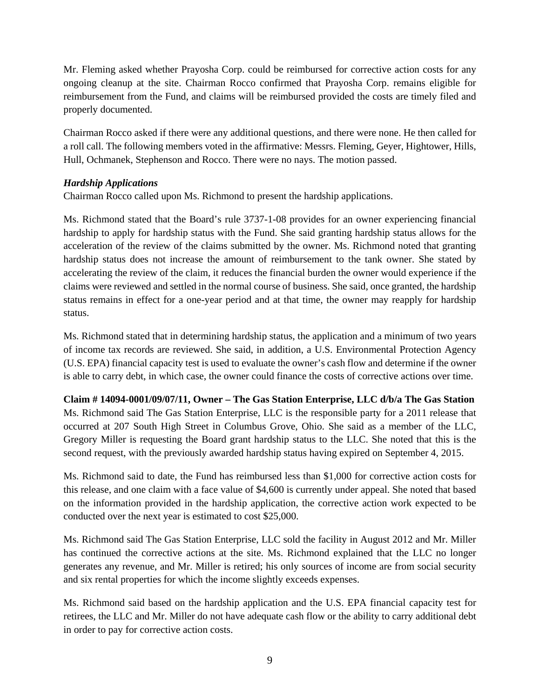Mr. Fleming asked whether Prayosha Corp. could be reimbursed for corrective action costs for any ongoing cleanup at the site. Chairman Rocco confirmed that Prayosha Corp. remains eligible for reimbursement from the Fund, and claims will be reimbursed provided the costs are timely filed and properly documented.

Chairman Rocco asked if there were any additional questions, and there were none. He then called for a roll call. The following members voted in the affirmative: Messrs. Fleming, Geyer, Hightower, Hills, Hull, Ochmanek, Stephenson and Rocco. There were no nays. The motion passed.

## *Hardship Applications*

Chairman Rocco called upon Ms. Richmond to present the hardship applications.

Ms. Richmond stated that the Board's rule 3737-1-08 provides for an owner experiencing financial hardship to apply for hardship status with the Fund. She said granting hardship status allows for the acceleration of the review of the claims submitted by the owner. Ms. Richmond noted that granting hardship status does not increase the amount of reimbursement to the tank owner. She stated by accelerating the review of the claim, it reduces the financial burden the owner would experience if the claims were reviewed and settled in the normal course of business. She said, once granted, the hardship status remains in effect for a one-year period and at that time, the owner may reapply for hardship status.

Ms. Richmond stated that in determining hardship status, the application and a minimum of two years of income tax records are reviewed. She said, in addition, a U.S. Environmental Protection Agency (U.S. EPA) financial capacity test is used to evaluate the owner's cash flow and determine if the owner is able to carry debt, in which case, the owner could finance the costs of corrective actions over time.

**Claim # 14094-0001/09/07/11, Owner – The Gas Station Enterprise, LLC d/b/a The Gas Station**  Ms. Richmond said The Gas Station Enterprise, LLC is the responsible party for a 2011 release that occurred at 207 South High Street in Columbus Grove, Ohio. She said as a member of the LLC, Gregory Miller is requesting the Board grant hardship status to the LLC. She noted that this is the second request, with the previously awarded hardship status having expired on September 4, 2015.

Ms. Richmond said to date, the Fund has reimbursed less than \$1,000 for corrective action costs for this release, and one claim with a face value of \$4,600 is currently under appeal. She noted that based on the information provided in the hardship application, the corrective action work expected to be conducted over the next year is estimated to cost \$25,000.

Ms. Richmond said The Gas Station Enterprise, LLC sold the facility in August 2012 and Mr. Miller has continued the corrective actions at the site. Ms. Richmond explained that the LLC no longer generates any revenue, and Mr. Miller is retired; his only sources of income are from social security and six rental properties for which the income slightly exceeds expenses.

Ms. Richmond said based on the hardship application and the U.S. EPA financial capacity test for retirees, the LLC and Mr. Miller do not have adequate cash flow or the ability to carry additional debt in order to pay for corrective action costs.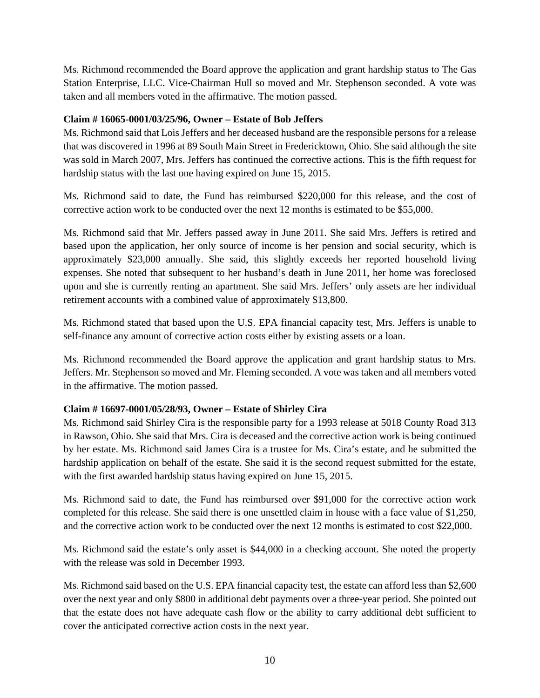Ms. Richmond recommended the Board approve the application and grant hardship status to The Gas Station Enterprise, LLC. Vice-Chairman Hull so moved and Mr. Stephenson seconded. A vote was taken and all members voted in the affirmative. The motion passed.

## **Claim # 16065-0001/03/25/96, Owner – Estate of Bob Jeffers**

Ms. Richmond said that Lois Jeffers and her deceased husband are the responsible persons for a release that was discovered in 1996 at 89 South Main Street in Fredericktown, Ohio. She said although the site was sold in March 2007, Mrs. Jeffers has continued the corrective actions. This is the fifth request for hardship status with the last one having expired on June 15, 2015.

Ms. Richmond said to date, the Fund has reimbursed \$220,000 for this release, and the cost of corrective action work to be conducted over the next 12 months is estimated to be \$55,000.

Ms. Richmond said that Mr. Jeffers passed away in June 2011. She said Mrs. Jeffers is retired and based upon the application, her only source of income is her pension and social security, which is approximately \$23,000 annually. She said, this slightly exceeds her reported household living expenses. She noted that subsequent to her husband's death in June 2011, her home was foreclosed upon and she is currently renting an apartment. She said Mrs. Jeffers' only assets are her individual retirement accounts with a combined value of approximately \$13,800.

Ms. Richmond stated that based upon the U.S. EPA financial capacity test, Mrs. Jeffers is unable to self-finance any amount of corrective action costs either by existing assets or a loan.

Ms. Richmond recommended the Board approve the application and grant hardship status to Mrs. Jeffers. Mr. Stephenson so moved and Mr. Fleming seconded. A vote was taken and all members voted in the affirmative. The motion passed.

# **Claim # 16697-0001/05/28/93, Owner – Estate of Shirley Cira**

Ms. Richmond said Shirley Cira is the responsible party for a 1993 release at 5018 County Road 313 in Rawson, Ohio. She said that Mrs. Cira is deceased and the corrective action work is being continued by her estate. Ms. Richmond said James Cira is a trustee for Ms. Cira's estate, and he submitted the hardship application on behalf of the estate. She said it is the second request submitted for the estate, with the first awarded hardship status having expired on June 15, 2015.

Ms. Richmond said to date, the Fund has reimbursed over \$91,000 for the corrective action work completed for this release. She said there is one unsettled claim in house with a face value of \$1,250, and the corrective action work to be conducted over the next 12 months is estimated to cost \$22,000.

Ms. Richmond said the estate's only asset is \$44,000 in a checking account. She noted the property with the release was sold in December 1993.

Ms. Richmond said based on the U.S. EPA financial capacity test, the estate can afford less than \$2,600 over the next year and only \$800 in additional debt payments over a three-year period. She pointed out that the estate does not have adequate cash flow or the ability to carry additional debt sufficient to cover the anticipated corrective action costs in the next year.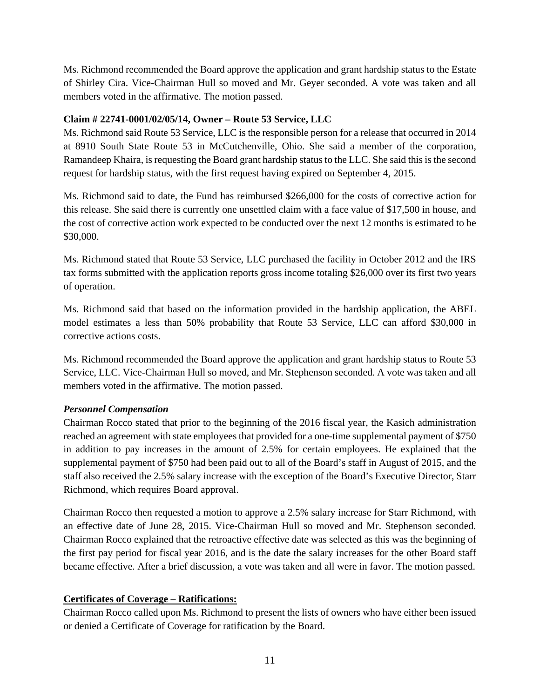Ms. Richmond recommended the Board approve the application and grant hardship status to the Estate of Shirley Cira. Vice-Chairman Hull so moved and Mr. Geyer seconded. A vote was taken and all members voted in the affirmative. The motion passed.

## **Claim # 22741-0001/02/05/14, Owner – Route 53 Service, LLC**

Ms. Richmond said Route 53 Service, LLC is the responsible person for a release that occurred in 2014 at 8910 South State Route 53 in McCutchenville, Ohio. She said a member of the corporation, Ramandeep Khaira, is requesting the Board grant hardship status to the LLC. She said this is the second request for hardship status, with the first request having expired on September 4, 2015.

Ms. Richmond said to date, the Fund has reimbursed \$266,000 for the costs of corrective action for this release. She said there is currently one unsettled claim with a face value of \$17,500 in house, and the cost of corrective action work expected to be conducted over the next 12 months is estimated to be \$30,000.

Ms. Richmond stated that Route 53 Service, LLC purchased the facility in October 2012 and the IRS tax forms submitted with the application reports gross income totaling \$26,000 over its first two years of operation.

Ms. Richmond said that based on the information provided in the hardship application, the ABEL model estimates a less than 50% probability that Route 53 Service, LLC can afford \$30,000 in corrective actions costs.

Ms. Richmond recommended the Board approve the application and grant hardship status to Route 53 Service, LLC. Vice-Chairman Hull so moved, and Mr. Stephenson seconded. A vote was taken and all members voted in the affirmative. The motion passed.

# *Personnel Compensation*

Chairman Rocco stated that prior to the beginning of the 2016 fiscal year, the Kasich administration reached an agreement with state employees that provided for a one-time supplemental payment of \$750 in addition to pay increases in the amount of 2.5% for certain employees. He explained that the supplemental payment of \$750 had been paid out to all of the Board's staff in August of 2015, and the staff also received the 2.5% salary increase with the exception of the Board's Executive Director, Starr Richmond, which requires Board approval.

Chairman Rocco then requested a motion to approve a 2.5% salary increase for Starr Richmond, with an effective date of June 28, 2015. Vice-Chairman Hull so moved and Mr. Stephenson seconded. Chairman Rocco explained that the retroactive effective date was selected as this was the beginning of the first pay period for fiscal year 2016, and is the date the salary increases for the other Board staff became effective. After a brief discussion, a vote was taken and all were in favor. The motion passed.

# **Certificates of Coverage – Ratifications:**

Chairman Rocco called upon Ms. Richmond to present the lists of owners who have either been issued or denied a Certificate of Coverage for ratification by the Board.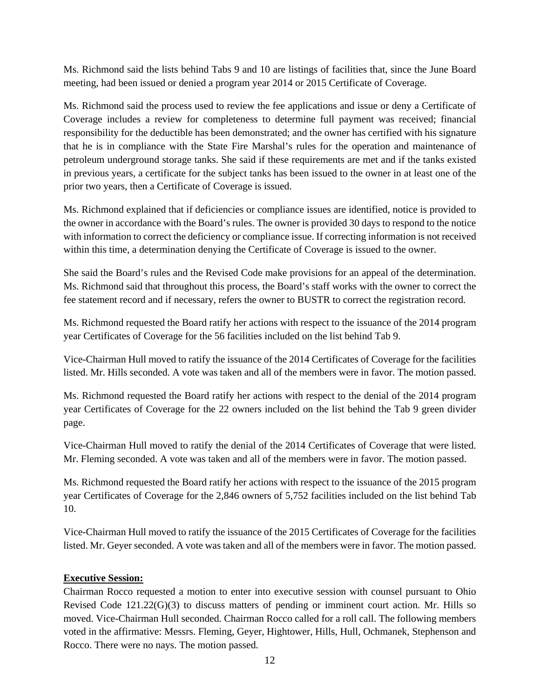Ms. Richmond said the lists behind Tabs 9 and 10 are listings of facilities that, since the June Board meeting, had been issued or denied a program year 2014 or 2015 Certificate of Coverage.

Ms. Richmond said the process used to review the fee applications and issue or deny a Certificate of Coverage includes a review for completeness to determine full payment was received; financial responsibility for the deductible has been demonstrated; and the owner has certified with his signature that he is in compliance with the State Fire Marshal's rules for the operation and maintenance of petroleum underground storage tanks. She said if these requirements are met and if the tanks existed in previous years, a certificate for the subject tanks has been issued to the owner in at least one of the prior two years, then a Certificate of Coverage is issued.

Ms. Richmond explained that if deficiencies or compliance issues are identified, notice is provided to the owner in accordance with the Board's rules. The owner is provided 30 days to respond to the notice with information to correct the deficiency or compliance issue. If correcting information is not received within this time, a determination denying the Certificate of Coverage is issued to the owner.

She said the Board's rules and the Revised Code make provisions for an appeal of the determination. Ms. Richmond said that throughout this process, the Board's staff works with the owner to correct the fee statement record and if necessary, refers the owner to BUSTR to correct the registration record.

Ms. Richmond requested the Board ratify her actions with respect to the issuance of the 2014 program year Certificates of Coverage for the 56 facilities included on the list behind Tab 9.

Vice-Chairman Hull moved to ratify the issuance of the 2014 Certificates of Coverage for the facilities listed. Mr. Hills seconded. A vote was taken and all of the members were in favor. The motion passed.

Ms. Richmond requested the Board ratify her actions with respect to the denial of the 2014 program year Certificates of Coverage for the 22 owners included on the list behind the Tab 9 green divider page.

Vice-Chairman Hull moved to ratify the denial of the 2014 Certificates of Coverage that were listed. Mr. Fleming seconded. A vote was taken and all of the members were in favor. The motion passed.

Ms. Richmond requested the Board ratify her actions with respect to the issuance of the 2015 program year Certificates of Coverage for the 2,846 owners of 5,752 facilities included on the list behind Tab 10.

Vice-Chairman Hull moved to ratify the issuance of the 2015 Certificates of Coverage for the facilities listed. Mr. Geyer seconded. A vote was taken and all of the members were in favor. The motion passed.

#### **Executive Session:**

Chairman Rocco requested a motion to enter into executive session with counsel pursuant to Ohio Revised Code 121.22(G)(3) to discuss matters of pending or imminent court action. Mr. Hills so moved. Vice-Chairman Hull seconded. Chairman Rocco called for a roll call. The following members voted in the affirmative: Messrs. Fleming, Geyer, Hightower, Hills, Hull, Ochmanek, Stephenson and Rocco. There were no nays. The motion passed.